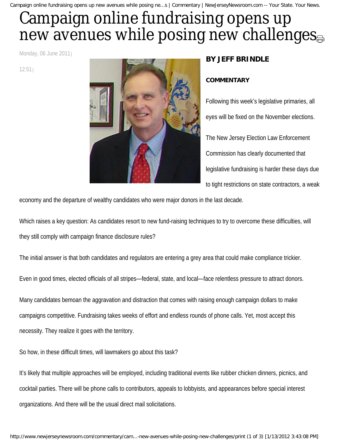Campaign online fundraising opens up new avenues while posing ne...s | Commentary | NewJerseyNewsroom.com -- Your State. Your News.

## Campaign online fundraising opens up new avenue[s](http://www.newjerseynewsroom.com/commentary/campaign-online-fundraising-opens-up-new-avenues-while-posing-new-challenges/print#) while posing new challenges

Monday, 06 June 2011

12:51



## **BY JEFF BRINDLE**

## **COMMENTARY**

Following this week's legislative primaries, all eyes will be fixed on the November elections. The New Jersey Election Law Enforcement Commission has clearly documented that legislative fundraising is harder these days due to tight restrictions on state contractors, a weak

economy and the departure of wealthy candidates who were major donors in the last decade.

Which raises a key question: As candidates resort to new fund-raising techniques to try to overcome these difficulties, will they still comply with campaign finance disclosure rules?

The initial answer is that both candidates and regulators are entering a grey area that could make compliance trickier.

Even in good times, elected officials of all stripes—federal, state, and local—face relentless pressure to attract donors.

Many candidates bemoan the aggravation and distraction that comes with raising enough campaign dollars to make campaigns competitive. Fundraising takes weeks of effort and endless rounds of phone calls. Yet, most accept this necessity. They realize it goes with the territory.

So how, in these difficult times, will lawmakers go about this task?

It's likely that multiple approaches will be employed, including traditional events like rubber chicken dinners, picnics, and cocktail parties. There will be phone calls to contributors, appeals to lobbyists, and appearances before special interest organizations. And there will be the usual direct mail solicitations.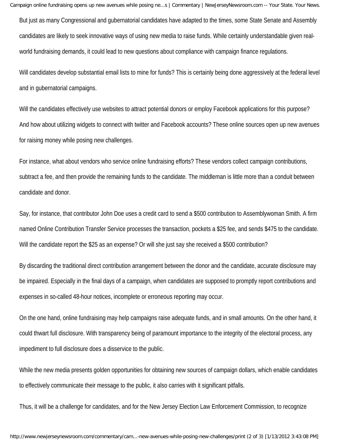Campaign online fundraising opens up new avenues while posing ne...s | Commentary | NewJerseyNewsroom.com -- Your State. Your News.

But just as many Congressional and gubernatorial candidates have adapted to the times, some State Senate and Assembly candidates are likely to seek innovative ways of using new media to raise funds. While certainly understandable given realworld fundraising demands, it could lead to new questions about compliance with campaign finance regulations.

Will candidates develop substantial email lists to mine for funds? This is certainly being done aggressively at the federal level and in gubernatorial campaigns.

Will the candidates effectively use websites to attract potential donors or employ Facebook applications for this purpose? And how about utilizing widgets to connect with twitter and Facebook accounts? These online sources open up new avenues for raising money while posing new challenges.

For instance, what about vendors who service online fundraising efforts? These vendors collect campaign contributions, subtract a fee, and then provide the remaining funds to the candidate. The middleman is little more than a conduit between candidate and donor.

Say, for instance, that contributor John Doe uses a credit card to send a \$500 contribution to Assemblywoman Smith. A firm named Online Contribution Transfer Service processes the transaction, pockets a \$25 fee, and sends \$475 to the candidate. Will the candidate report the \$25 as an expense? Or will she just say she received a \$500 contribution?

By discarding the traditional direct contribution arrangement between the donor and the candidate, accurate disclosure may be impaired. Especially in the final days of a campaign, when candidates are supposed to promptly report contributions and expenses in so-called 48-hour notices, incomplete or erroneous reporting may occur.

On the one hand, online fundraising may help campaigns raise adequate funds, and in small amounts. On the other hand, it could thwart full disclosure. With transparency being of paramount importance to the integrity of the electoral process, any impediment to full disclosure does a disservice to the public.

While the new media presents golden opportunities for obtaining new sources of campaign dollars, which enable candidates to effectively communicate their message to the public, it also carries with it significant pitfalls.

Thus, it will be a challenge for candidates, and for the New Jersey Election Law Enforcement Commission, to recognize